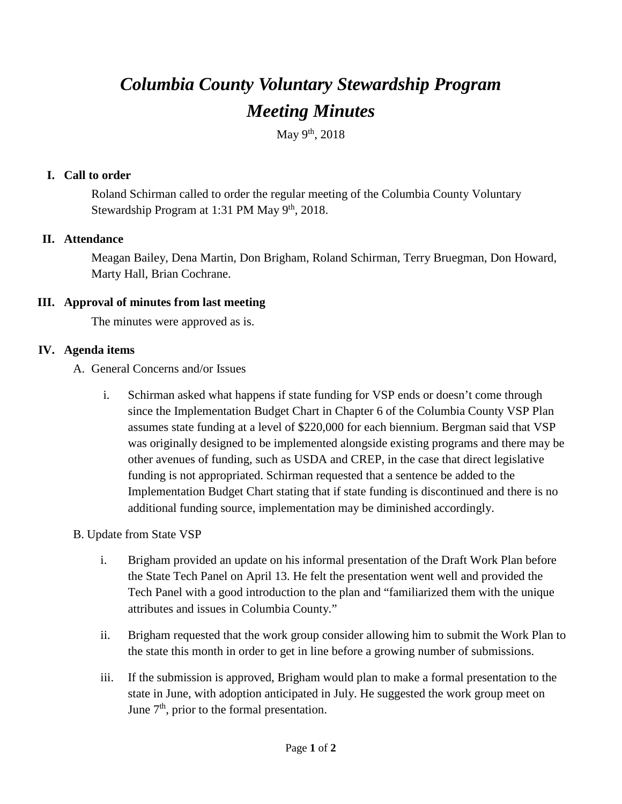# *Columbia County Voluntary Stewardship Program Meeting Minutes*

May 9<sup>th</sup>, 2018

# **I. Call to order**

Roland Schirman called to order the regular meeting of the Columbia County Voluntary Stewardship Program at 1:31 PM May 9<sup>th</sup>, 2018.

### **II. Attendance**

Meagan Bailey, Dena Martin, Don Brigham, Roland Schirman, Terry Bruegman, Don Howard, Marty Hall, Brian Cochrane.

### **III. Approval of minutes from last meeting**

The minutes were approved as is.

### **IV. Agenda items**

- A. General Concerns and/or Issues
	- i. Schirman asked what happens if state funding for VSP ends or doesn't come through since the Implementation Budget Chart in Chapter 6 of the Columbia County VSP Plan assumes state funding at a level of \$220,000 for each biennium. Bergman said that VSP was originally designed to be implemented alongside existing programs and there may be other avenues of funding, such as USDA and CREP, in the case that direct legislative funding is not appropriated. Schirman requested that a sentence be added to the Implementation Budget Chart stating that if state funding is discontinued and there is no additional funding source, implementation may be diminished accordingly.
- B. Update from State VSP
	- i. Brigham provided an update on his informal presentation of the Draft Work Plan before the State Tech Panel on April 13. He felt the presentation went well and provided the Tech Panel with a good introduction to the plan and "familiarized them with the unique attributes and issues in Columbia County."
	- ii. Brigham requested that the work group consider allowing him to submit the Work Plan to the state this month in order to get in line before a growing number of submissions.
	- iii. If the submission is approved, Brigham would plan to make a formal presentation to the state in June, with adoption anticipated in July. He suggested the work group meet on June  $7<sup>th</sup>$ , prior to the formal presentation.